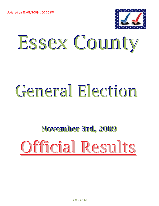Updated on 12/01/2009 1:00:30 PM



## Essex County Essex County

## General Election

## November 3rd, 2009 November 3rd, 2009 Official Results Official Results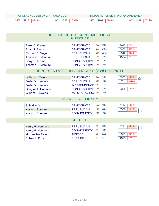| PROPOSAL NUMBER ONE, AN AMENDMENT |                       | PROPOSAL NUMBER TWO, AN AMENDMENT                  |  |
|-----------------------------------|-----------------------|----------------------------------------------------|--|
| 80.95%<br><b>YES</b> 5728         | 19.05%<br>1348<br>NO. | 20.14%<br>79.86%<br>1439<br><b>YES</b> 5707<br>NO. |  |
|                                   |                       |                                                    |  |
|                                   |                       |                                                    |  |

|                                            | <b>JUSTICE OF THE SUPREME COURT</b> |                |      |                     |
|--------------------------------------------|-------------------------------------|----------------|------|---------------------|
|                                            | (4th DISTRICT)                      |                |      |                     |
| Barry D. Kramer                            | <b>DEMOCRATIC</b>                   | 1A             | 2983 | 21.01%<br>3615      |
| <b>Brian S. Stewart</b>                    | <b>DEMOCRATIC</b>                   | 2A             | 3451 | 20.06%<br>3451      |
| Richard B. Meyer                           | <b>REPUBLICAN</b>                   | 1B             | 5542 | 32.22%<br>5542      |
| <b>Thomas E. Mercure</b>                   | <b>REPUBLICAN</b>                   | 2B             | 3968 | 26.71%<br>4594      |
| Barry D. Kramer                            | <b>CONSERVATIVE</b>                 | 1D             | 632  |                     |
| <b>Thomas E. Mercure</b>                   | <b>CONSERVATIVE</b>                 | 2D             | 626  |                     |
| REPRESENTATIVE IN CONGRESS (23rd DISTRICT) |                                     |                |      |                     |
| <b>William L. Owens</b>                    | <b>DEMOCRATIC</b>                   | 3A             | 3460 | 50.30%<br>3963<br>的 |
| Dede Scozzafava                            | <b>REPUBLICAN</b>                   | 3B             | 448  | 7.12%<br>561        |
| Dede Scozzafava                            | <b>INDEPENDENCE</b>                 | 3C             | 113  |                     |
| Douglas L. Hoffman                         | <b>CONSERVATIVE</b>                 | 3D             | 3355 | 42.58%<br>3355      |
| William L. Owens                           | <b>WORKING FAMILIES 3E</b>          |                | 503  |                     |
|                                            | <b>DISTRICT ATTORNEY</b>            |                |      |                     |
| <b>Julie Garcia</b>                        | <b>DEMOCRATIC</b>                   | 4A             | 6384 | 49.52%<br>6384      |
| Kristy L. Sprague                          | <b>REPUBLICAN</b>                   | 4 <sub>B</sub> | 5521 | 50.48%<br>6509<br>闭 |
| Kristy L. Sprague                          | <b>CON-HONESTY</b>                  | 4 <sub>D</sub> | 988  |                     |
|                                            | <b>SHERIFF</b>                      |                |      |                     |
| Henry H. Hommes                            | <b>REPUBLICAN</b>                   | 5B             | 4799 | 54.93%<br>5781<br>闭 |
| Henry H. Hommes                            | <b>CON-HONESTY</b>                  | 5 <sub>D</sub> | 982  |                     |
| <b>Michael Ike Tyler</b>                   | <b>JUSTICE</b>                      | 5F             | 3371 | 32.03%<br>3371      |
| Robert L. Kirby                            | <b>SHERIFF</b>                      | 5G             | 1373 | 13.05%<br>1373      |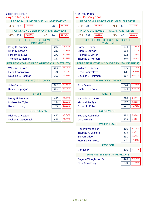| <b>CHESTERFIELD</b>                                   |               | <b>CROWN POINT</b>                                    |                |
|-------------------------------------------------------|---------------|-------------------------------------------------------|----------------|
| Assy 113th-Cong 23rd                                  |               | Assy 113th-Cong 23rd                                  |                |
| PROPOSAL NUMBER ONE, AN AMENDMENT                     |               | PROPOSAL NUMBER ONE, AN AMENDMENT                     |                |
| 77.58%<br>263<br><b>NO</b><br><b>YES</b>              | 22.42%<br>76  | 78.93%<br><b>NO</b><br><b>YES</b><br>236              | 21.07%<br>63   |
| PROPOSAL NUMBER TWO, AN AMENDMENT                     |               | PROPOSAL NUMBER TWO, AN AMENDMENT                     |                |
| 78.29%<br>274<br><b>YES</b><br><b>NO</b>              | 21.71%<br>76  | 78.11%<br><b>YES</b><br>232<br><b>NO</b>              | 21.89%<br>65   |
| <b>JUSTICE OF THE SUPREME COURT</b><br>(4th DISTRICT) |               | <b>JUSTICE OF THE SUPREME COURT</b><br>(4th DISTRICT) |                |
| Barry D. Kramer                                       | 24.24%<br>240 | Barry D. Kramer                                       | 21.65%<br>184  |
| <b>Brian S. Stewart</b>                               | 21.31%<br>211 | <b>Brian S. Stewart</b>                               | 18.12%<br>154  |
| <b>Richard B. Meyer</b>                               | 27.47%<br>272 | <b>Richard B. Meyer</b>                               | 32.00%<br>272  |
| Thomas E. Mercure                                     | 26.97%<br>267 | Thomas E. Mercure                                     | 28.24%<br>240  |
| REPRESENTATIVE IN CONGRESS (23rd DISTRICT)            |               | REPRESENTATIVE IN CONGRESS (23rd DISTRICT)            |                |
| <b>William L. Owens</b>                               | 48.91%<br>336 | <b>William L. Owens</b>                               | 47.35%<br>286  |
| Dede Scozzafava                                       | 4.37%<br>30   | Dede Scozzafava                                       | 8.44%<br>51    |
| Douglas L. Hoffman                                    | 46.72%<br>321 | Douglas L. Hoffman                                    | 44.21%<br>267  |
| <b>DISTRICT ATTORNEY</b>                              |               | <b>DISTRICT ATTORNEY</b>                              |                |
| <b>Julie Garcia</b>                                   | 43.16%<br>303 | <b>Julie Garcia</b>                                   | 47.09%<br>324  |
| Kristy L. Sprague                                     | 56.84%<br>399 | Kristy L. Sprague                                     | 52.91%<br>364  |
| <b>SHERIFF</b>                                        |               | <b>SHERIFF</b>                                        |                |
| Henry H. Hommes                                       | 69.76%<br>413 | Henry H. Hommes                                       | 59.17%<br>326  |
| <b>Michael Ike Tyler</b>                              | 19.26%<br>114 | <b>Michael Ike Tyler</b>                              | 32.12%<br>177  |
| Robert L. Kirby                                       | 10.98%<br>65  | Robert L. Kirby                                       | 8.71%<br>48    |
| <b>COUNCILMAN</b>                                     |               | <b>SUPERVISOR</b>                                     |                |
| Richard J. Klages                                     | 49.64%<br>410 | <b>Bethany Kosmider</b>                               | 53.80%<br>382  |
| Walter E. LaMountain                                  | 50.36%<br>416 | <b>Dale French</b>                                    | 46.20%<br>328  |
|                                                       |               | <b>COUNCILMAN</b>                                     |                |
|                                                       |               | Robert Patnode Jr.                                    | 41.78%<br>465  |
|                                                       |               | <b>Thomas A. Walters</b>                              | 33.51%<br>373  |
|                                                       |               | <b>Steven Mildon</b>                                  | 20.75%<br>231  |
|                                                       |               | <b>Mary DeHart-Ross</b>                               | 3.95%<br>44    |
|                                                       |               | <b>ASSESOR</b>                                        |                |
|                                                       |               | <b>Carl Ross</b>                                      | 100.00%<br>416 |
|                                                       |               | SUPERINTENDENT OF HIGHWAYS                            |                |
|                                                       |               | Eugene W.Ingleston Jr                                 | 62.10%<br>426  |
|                                                       |               | <b>Cory Armstrong</b>                                 | 37.90%<br>260  |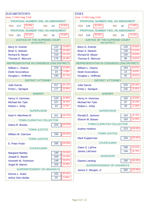| <b>ELIZABETHTOWN</b>                                     | <b>ESSEX</b>                                          |         |
|----------------------------------------------------------|-------------------------------------------------------|---------|
| Assy 113th-Cong 23rd                                     | Assy 113th-Cong 23rd                                  |         |
| PROPOSAL NUMBER ONE, AN AMENDMENT                        | PROPOSAL NUMBER ONE, AN AMENDMENT                     |         |
| 80.00%<br>20.00%<br><b>YES</b><br>172<br><b>NO</b><br>43 | 82.32%<br><b>NO</b><br><b>YES</b> 149<br>32           | 17.68%  |
| PROPOSAL NUMBER TWO, AN AMENDMENT                        | PROPOSAL NUMBER TWO, AN AMENDMENT                     |         |
| 83.41%<br>16.59%<br>181<br><b>NO</b><br>36<br><b>YES</b> | 85.95%<br>159<br><b>NO</b><br>26<br><b>YES</b>        | 14.05%  |
| <b>JUSTICE OF THE SUPREME COURT</b><br>(4th DISTRICT)    | <b>JUSTICE OF THE SUPREME COURT</b><br>(4th DISTRICT) |         |
| 19.00%<br>122<br>Barry D. Kramer                         | 126<br>Barry D. Kramer                                | 25.82%  |
| 20.40%<br><b>Brian S. Stewart</b><br>131                 | <b>Brian S. Stewart</b><br>136                        | 27.87%  |
| 34.11%<br>219<br>Richard B. Meyer                        | 130<br>Richard B. Meyer                               | 26.64%  |
| 26.48%<br>170<br>Thomas E. Mercure                       | 96<br>Thomas E. Mercure                               | 19.67%  |
| REPRESENTATIVE IN CONGRESS (23rd DISTRICT)               | REPRESENTATIVE IN CONGRESS (23rd DISTRICT)            |         |
| 52.89%<br>229<br>William L. Owens                        | 194<br><b>William L. Owens</b>                        | 64.67%  |
| 4.39%<br>19<br>Dede Scozzafava                           | 14<br>Dede Scozzafava                                 | 4.67%   |
| 42.73%<br>185<br>Douglas L. Hoffman                      | 92<br>Douglas L. Hoffman                              | 30.67%  |
| <b>DISTRICT ATTORNEY</b>                                 | <b>DISTRICT ATTORNEY</b>                              |         |
| 64.17%<br>317<br><b>Julie Garcia</b>                     | 225<br><b>Julie Garcia</b>                            | 68.18%  |
| 35.83%<br>177<br>Kristy L. Sprague                       | 105<br>Kristy L. Sprague                              | 31.82%  |
| <b>SHERIFF</b>                                           | <b>SHERIFF</b>                                        |         |
| 44.90%<br>220<br>Henry H. Hommes                         | 165<br>Henry H. Hommes                                | 54.82%  |
| 46.33%<br>227<br><b>Michael Ike Tyler</b>                | 97<br>Michael Ike Tyler                               | 32.23%  |
| 8.78%<br>43<br>Robert L. Kirby                           | 39<br>Robert L. Kirby                                 | 12.96%  |
| <b>SUPERVISOR</b>                                        | <b>SUPERVISOR</b>                                     |         |
| 100.00%<br>321<br>Noel H. Merrihew, III                  | 154<br>Ronald E. Jackson                              | 45.70%  |
| <b>TOWN CLERK/TAX COLLECTOR</b>                          | 183<br>Sharon M. Boisen                               | 54.30%  |
| 100.00%<br>325<br>Debra R. Brooks                        | <b>TOWN CLERK/TAX COLLECTOR</b>                       |         |
| <b>TOWN JUSTICE</b>                                      | 223<br><b>Audrey Hoskins</b>                          | 100.00% |
| 100.00%<br>336<br><b>William M. Garrison</b>             | <b>TOWN JUSTICE</b>                                   |         |
| <b>TOWN JUSTICE</b>                                      | 156<br>Mark Kupperman                                 | 100.00% |
| 100.00%<br>285<br>E. Peter Frisbi                        | <b>COUNCILMAN</b>                                     |         |
| <b>COUNCILMAN</b>                                        | 268<br>Claire S. LaPine                               | 63.21%  |
| 23.25%<br>199<br><b>Margaret Bartley</b>                 | <b>James LaForest</b><br>156                          | 36.79%  |
| 24.42%<br>209<br>Joseph E. Martin                        | <b>ASSESSOR</b>                                       |         |
| 28.97%<br>Kenneth W. Fenimore<br>248                     | 190<br><b>Dianne Lansing</b>                          | 100.00% |
| 23.36%<br>200<br>Angel M. Marvin                         | <b>SUPERINTENDENT OF HIGHWAYS</b>                     |         |
| SUPERINTENDENT OF HIGHWAYS                               | James Z. Morgan, Jr<br>280                            | 100.00% |
| 94.54%<br>Dennis L. Aubin<br>433                         |                                                       |         |
| 5.46%<br>25<br><b>Arthur Glen Muller</b>                 |                                                       |         |
|                                                          |                                                       |         |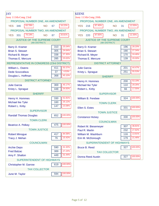| <b>JAY</b>                                     | <b>KEENE</b>                        |
|------------------------------------------------|-------------------------------------|
| Assy 113th-Cong 23rd                           | Assy 113th-Cong 20th                |
| PROPOSAL NUMBER ONE, AN AMENDMENT              | PROPOSAL NUMBER ONE, AN AMENDMENT   |
| 83.78%                                         | 87.45%                              |
| 16.22%                                         | 12.55%                              |
| <b>YES</b> 346                                 | <b>YES</b> 216                      |
| <b>NO</b>                                      | <b>NO</b>                           |
| 67                                             | 31                                  |
| PROPOSAL NUMBER TWO, AN AMENDMENT              | PROPOSAL NUMBER TWO, AN AMENDMENT   |
| 79.19%                                         | 87.65%                              |
| 20.81%                                         | 12.35%                              |
| <b>YES</b>                                     | <b>YES</b>                          |
| 331                                            | 220                                 |
| <b>NO</b>                                      | 31                                  |
| 87                                             | <b>NO</b>                           |
| <b>JUSTICE OF THE SUPREME COURT</b>            | <b>JUSTICE OF THE SUPREME COURT</b> |
| (4th DISTRICT)                                 | (4th DISTRICT)                      |
| 25.04%                                         | 28.20%                              |
| 310                                            | 196                                 |
| Barry D. Kramer                                | Barry D. Kramer                     |
| 24.64%                                         | 27.34%                              |
| <b>Brian S. Stewart</b>                        | <b>Brian S. Stewart</b>             |
| 305                                            | 190                                 |
| 27.30%                                         | 24.46%                              |
| 338                                            | 170                                 |
| Richard B. Meyer                               | Richard B. Meyer                    |
| 23.02%                                         | 20.00%                              |
| 285                                            | 139                                 |
| Thomas E. Mercure                              | Thomas E. Mercure                   |
| REPRESENTATIVE IN CONGRESS (23rd DISTRICT)     | <b>DISTRICT ATTORNEY</b>            |
| 50.37%                                         | 44.47%                              |
| 411                                            | 201                                 |
| William L. Owens                               | <b>Julie Garcia</b>                 |
| 4.53%                                          | 55.53%                              |
| 37                                             | 251                                 |
| Dede Scozzafava                                | Kristy L. Sprague                   |
| 45.10%<br>368<br>Douglas L. Hoffman            | <b>SHERIFF</b>                      |
| <b>DISTRICT ATTORNEY</b>                       | 53.19%<br>200<br>Henry H. Hommes    |
| 45.17%                                         | 29.26%                              |
| 369                                            | 110                                 |
| <b>Julie Garcia</b>                            | Michael Ike Tyler                   |
| 54.83%                                         | 17.55%                              |
| 448                                            | 66                                  |
| Kristy L. Sprague                              | Robert L. Kirby                     |
| <b>SHERIFF</b>                                 | <b>SUPERVISOR</b>                   |
| 51.81%                                         | 100.00%                             |
| 330                                            | 324                                 |
| Henry H. Hommes                                | William B. Ferebee                  |
| 25.12%<br>160<br><b>Michael Ike Tyler</b>      | <b>TOWN CLERK</b>                   |
| 23.08%                                         | 100.00%                             |
| 147                                            | Ellen S. Estes                      |
| Robert L. Kirby                                | 331                                 |
| <b>SUPERVISOR</b>                              | <b>TOWN JUSTICE</b>                 |
| 100.00%                                        | 100.00%                             |
| 652                                            | 330                                 |
| <b>Randall Thomas Douglas</b>                  | <b>Constance Hickey</b>             |
| <b>TOWN CLERK</b>                              | <b>COUNCILMAN</b>                   |
| 100.00%                                        | 36.81%                              |
| 475                                            | 307                                 |
| <b>Beatrice A. Pelkey</b>                      | <b>Robert M. Biesemeyer</b>         |
| <b>TOWN JUSTICE</b>                            | 27.82%<br>232<br>Paul R. Martin     |
| 84.58%                                         | 13.91%                              |
| 417                                            | 116                                 |
| <b>Robert Minogue</b>                          | William M. Washburn                 |
| 15.42%                                         | 21.46%                              |
| 76                                             | 179                                 |
| Tracy J. Mehan                                 | Erin M. McDonough                   |
| <b>COUNCILMAN</b>                              | <b>SUPERINTENDENT OF HIGHWAYS</b>   |
| 41.32%                                         | 100.00%                             |
| 590                                            | <b>Bruce B. Reed</b>                |
| <b>Archie Depo</b>                             | 327                                 |
| 27.24%<br>389<br><b>Fred Balzac</b>            | <b>TAX COLLECTOR</b>                |
| 31.44%                                         | 100.00%                             |
| 449                                            | 327                                 |
| Amy F. Shalton                                 | <b>Donna Reed Austin</b>            |
| <b>SUPERINTENDENT OF HIGHWAYS</b>              |                                     |
| 100.00%<br>619<br><b>Christopher M. Garrow</b> |                                     |
| <b>TAX COLLECTOR</b>                           |                                     |
| 100.00%<br>June M. Taylor<br>594               |                                     |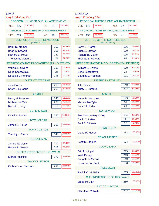| <b>LEWIS</b>                                          |                | <b>MINERVA</b>                                        |                |
|-------------------------------------------------------|----------------|-------------------------------------------------------|----------------|
| Assy 113th-Cong 23rd                                  |                | Assy 113th-Cong 23rd                                  |                |
| PROPOSAL NUMBER ONE, AN AMENDMENT                     |                | PROPOSAL NUMBER ONE, AN AMENDMENT                     |                |
| 73.75%<br><b>YES</b> 236<br><b>NO</b>                 | 26.25%<br>84   | 79.33%<br><b>YES</b><br>142<br><b>NO</b>              | 20.67%<br>37   |
| PROPOSAL NUMBER TWO, AN AMENDMENT                     |                | PROPOSAL NUMBER TWO, AN AMENDMENT                     |                |
| 77.13%<br>263<br><b>YES</b><br><b>NO</b>              | 22.87%<br>78   | 76.84%<br><b>YES</b><br>136<br><b>NO</b>              | 23.16%<br>41   |
| <b>JUSTICE OF THE SUPREME COURT</b><br>(4th DISTRICT) |                | <b>JUSTICE OF THE SUPREME COURT</b><br>(4th DISTRICT) |                |
| Barry D. Kramer                                       | 16.21%<br>101  | Barry D. Kramer                                       | 29.50%<br>136  |
| <b>Brian S. Stewart</b>                               | 17.34%<br>108  | <b>Brian S. Stewart</b>                               | 26.03%<br>120  |
| Richard B. Meyer                                      | 38.68%<br>241  | <b>Richard B. Meyer</b>                               | 22.99%<br>106  |
| Thomas E. Mercure                                     | 27.77%<br>173  | Thomas E. Mercure                                     | 21.48%<br>99   |
| REPRESENTATIVE IN CONGRESS (23rd DISTRICT)            |                | REPRESENTATIVE IN CONGRESS (23rd DISTRICT)            |                |
| <b>William L. Owens</b>                               | 42.86%<br>168  | <b>William L. Owens</b>                               | 53.97%<br>170  |
| Dede Scozzafava                                       | 7.14%<br>28    | Dede Scozzafava                                       | 7.62%<br>24    |
| Douglas L. Hoffman                                    | 50.00%<br>196  | Douglas L. Hoffman                                    | 38.41%<br>121  |
| <b>DISTRICT ATTORNEY</b>                              |                | <b>DISTRICT ATTORNEY</b>                              |                |
| <b>Julie Garcia</b>                                   | 45.74%<br>215  | <b>Julie Garcia</b>                                   | 41.85%<br>149  |
| Kristy L. Sprague                                     | 54.26%<br>255  | Kristy L. Sprague                                     | 58.15%<br>207  |
| <b>SHERIFF</b>                                        |                | <b>SHERIFF</b>                                        |                |
| Henry H. Hommes                                       | 51.06%<br>240  | Henry H. Hommes                                       | 72.50%<br>145  |
| <b>Michael Ike Tyler</b>                              | 43.19%<br>203  | Michael Ike Tyler                                     | 15.50%<br>31   |
| Robert L. Kirby                                       | 5.74%<br>27    | Robert L. Kirby                                       | 12.00%<br>24   |
| <b>SUPERVISOR</b>                                     |                | <b>SUPERVISOR</b>                                     |                |
| David H. Blades                                       | 100.00%<br>357 | <b>Sue Montgomery Corey</b>                           | 56.48%<br>244  |
| <b>TOWN CLERK</b>                                     |                | David C. LaBar                                        | 39.58%<br>171  |
| James E. Pierce                                       | 100.00%<br>359 | Paul E. Clickner                                      | 3.94%<br>17    |
|                                                       |                | <b>TOWN CLERK</b>                                     |                |
| <b>TOWN JUSTICE</b>                                   |                | Diana M. Mason                                        | 100.00%<br>232 |
| Timothy J. Pierce                                     | 100.00%<br>349 | <b>TOWN JUSTICE</b>                                   |                |
| <b>COUNCILMAN</b>                                     |                | Scott D. Staples                                      | 100.00%<br>174 |
| James W. Monty                                        | 49.44%<br>310  |                                                       |                |
| <b>Robert R. Sweatt</b>                               | 50.56%<br>317  | <b>COUNCILMAN</b>                                     |                |
| SUPERINTENDENT OF HIGHWAYS                            |                | Eric T. Klippel                                       | 31.62%<br>215  |
| <b>Eldred Hutchins</b>                                | 100.00%<br>371 | <b>Keith Dubay</b>                                    | 31.32%<br>213  |
| <b>TAX COLLECTOR</b>                                  |                | Dougals S. McCall                                     | 21.91%<br>149  |
| Catherine A. Flinchum                                 | 100.00%<br>294 | Lawrence W. Pratt                                     | 15.15%<br>103  |
|                                                       |                | <b>ASSESSOR</b>                                       |                |
|                                                       |                | Patrick C. McNally                                    | 100.00%<br>235 |
|                                                       |                | SUPERINTENDENT OF HIGHWAYS                            |                |
|                                                       |                | <b>Bruce McGinn</b>                                   | 100.00%<br>250 |
|                                                       |                | <b>TAX COLLECTOR</b>                                  |                |
|                                                       |                | <b>Effie Jane McNally</b>                             | 100.00%<br>287 |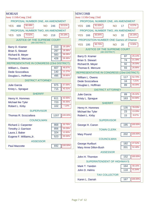| <b>MORIAH</b><br>Assy 113th-Cong 23rd                 |                         | <b>NEWCOMB</b><br>Assy 113th-Cong 23rd                |                |
|-------------------------------------------------------|-------------------------|-------------------------------------------------------|----------------|
| PROPOSAL NUMBER ONE, AN AMENDMENT                     |                         | PROPOSAL NUMBER ONE, AN AMENDMENT                     |                |
| 66.49%<br>488<br><b>YES</b><br><b>NO</b>              | 33.51%<br>246           | 91.63%<br><b>YES</b><br>186<br><b>NO</b>              | 8.37%<br>17    |
| PROPOSAL NUMBER TWO, AN AMENDMENT                     |                         | PROPOSAL NUMBER TWO, AN AMENDMENT                     |                |
| 70.82%<br>529<br><b>YES</b><br><b>NO</b>              | 29.18%<br>218           | 83.84%<br><b>YES</b><br>166<br><b>NO</b>              | 16.16%<br>32   |
| <b>JUSTICE OF THE SUPREME COURT</b><br>(4th DISTRICT) |                         | <b>PROPOSITION NUMBER ONE Games of Chance</b>         |                |
| Barry D. Kramer                                       | 19.18%<br>310           | 90.70%<br><b>YES</b><br>195<br><b>NO</b>              | 9.30%<br>20    |
| <b>Brian S. Stewart</b>                               | 18.38%<br>297           | <b>JUSTICE OF THE SUPREME COURT</b><br>(4th DISTRICT) |                |
| Richard B. Meyer                                      | 36.08%<br>583           | Barry D. Kramer                                       | 25.14%<br>87   |
| Thomas E. Mercure                                     | 26.36%<br>426           | <b>Brian S. Stewart</b>                               | 21.39%<br>74   |
| REPRESENTATIVE IN CONGRESS (23rd DISTRICT)            |                         | Richard B. Meyer                                      | 26.59%<br>92   |
| William L. Owens                                      | 48.87%<br>607           | Thomas E. Mercure                                     | 26.88%<br>93   |
| Dede Scozzafava                                       | 11.27%<br>140           | REPRESENTATIVE IN CONGRESS (23rd DISTRICT)            |                |
| Douglas L. Hoffman                                    | 39.86%<br>495           | William L. Owens                                      | 52.70%<br>117  |
| <b>DISTRICT ATTORNEY</b>                              |                         | Dede Scozzafava                                       | 7.21%<br>16    |
| <b>Julie Garcia</b>                                   | 57.69%<br>975           | Douglas L. Hoffman                                    | 40.09%<br>89   |
| Kristy L. Sprague                                     | 42.31%<br>715           | <b>DISTRICT ATTORNEY</b>                              |                |
| <b>SHERIFF</b>                                        |                         | <b>Julie Garcia</b>                                   | 35.32%<br>89   |
| Henry H. Hommes                                       | 42.55%<br>611           | Kristy L. Sprague                                     | 64.68%<br>163  |
| Michael Ike Tyler                                     | 50.35%<br>723           | <b>SHERIFF</b>                                        |                |
| Robert L. Kirby                                       | 7.10%<br>102            | Henry H. Hommes                                       | 78.03%<br>135  |
| <b>SUPERVISOR</b>                                     |                         | <b>Michael Ike Tyler</b>                              | 13.29%<br>23   |
| Thomas R. Scozzafava                                  | 100.00%<br>1207         | Robert L. Kirby                                       | 8.67%<br>15    |
| <b>COUNCILMAN</b>                                     |                         | <b>SUPERVISOR</b>                                     |                |
| <b>Richard J. Carpenter</b>                           | 33.76%<br>868           | George H. Canon                                       | 100.00%<br>195 |
| Timothy J. Garrison                                   | 856<br>33.29%           | <b>TOWN CLERK</b>                                     |                |
| Laura J. Baker                                        | 12.60%<br>324<br>20.34% | <b>Mary Pound</b>                                     | 100.00%<br>202 |
| Eugene F. Williams, Jr.                               | 523                     | <b>COUNCILMAN</b>                                     |                |
| <b>ASSESSOR</b>                                       |                         | <b>George Hurlburt</b>                                | 47.52%<br>182  |
| <b>Paul Mazzotte</b>                                  | 100.00%<br>692          | <b>Mary Anne Dillon-Bush</b>                          | 52.48%<br>201  |
|                                                       |                         | <b>ASSESSOR</b>                                       |                |
|                                                       |                         | John H. Thornton                                      | 100.00%<br>152 |
|                                                       |                         | <b>SUPERINTENDENT OF HIGHWAYS</b>                     |                |
|                                                       |                         | Mark T. Yandon                                        | 58.16%<br>164  |
|                                                       |                         | John D. Helms                                         | 41.84%<br>118  |
|                                                       |                         | <b>TAX COLLECTOR</b>                                  |                |
|                                                       |                         | Karen L. Darrah                                       | 100.00%<br>167 |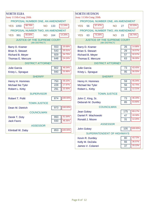| <b>NORTH ELBA</b>                                     |                | <b>NORTH HUDSON</b>                                   |                |
|-------------------------------------------------------|----------------|-------------------------------------------------------|----------------|
| Assy 113th-Cong 20th                                  |                | Assy 113th-Cong 20th                                  |                |
| PROPOSAL NUMBER ONE, AN AMENDMENT                     |                | PROPOSAL NUMBER ONE, AN AMENDMENT                     |                |
| 88.76%<br><b>YES 1050</b><br><b>NO</b>                | 11.24%<br>133  | 67.47%<br><b>YES</b><br>56<br><b>NO</b>               | 32.53%<br>27   |
| PROPOSAL NUMBER TWO, AN AMENDMENT                     |                | PROPOSAL NUMBER TWO, AN AMENDMENT                     |                |
| 85.80%<br><b>YES</b><br>991<br><b>NO</b>              | 14.20%<br>164  | 73.26%<br><b>YES</b><br>63<br><b>NO</b>               | 26.74%<br>23   |
| <b>JUSTICE OF THE SUPREME COURT</b><br>(4th DISTRICT) |                | <b>JUSTICE OF THE SUPREME COURT</b><br>(4th DISTRICT) |                |
| Barry D. Kramer                                       | 20.69%<br>553  | Barry D. Kramer                                       | 14.86%<br>26   |
| <b>Brian S. Stewart</b>                               | 20.31%<br>543  | <b>Brian S. Stewart</b>                               | 16.57%<br>29   |
|                                                       | 34.75%<br>929  |                                                       | 32.57%<br>57   |
| <b>Richard B. Meyer</b>                               | 24.24%         | <b>Richard B. Meyer</b>                               | 36.00%         |
| Thomas E. Mercure                                     | 648            | Thomas E. Mercure                                     | 63             |
| <b>DISTRICT ATTORNEY</b>                              |                | <b>DISTRICT ATTORNEY</b>                              |                |
| <b>Julie Garcia</b>                                   | 46.04%<br>802  | <b>Julie Garcia</b>                                   | 43.45%<br>73   |
| Kristy L. Sprague                                     | 53.96%<br>940  | Kristy L. Sprague                                     | 56.55%<br>95   |
| <b>SHERIFF</b>                                        |                | <b>SHERIFF</b>                                        |                |
| Henry H. Hommes                                       | 59.10%<br>750  | Henry H. Hommes                                       | 45.04%<br>59   |
| Michael Ike Tyler                                     | 17.97%<br>228  | <b>Michael Ike Tyler</b>                              | 42.75%<br>56   |
| Robert L. Kirby                                       | 22.93%<br>291  | Robert L. Kirby                                       | 12.21%<br>16   |
| <b>SUPERVISOR</b>                                     |                | <b>TOWN JUSTICE</b>                                   |                |
| Robert T. Politi                                      | 100.00%<br>874 | John C. King, Sr.                                     | 46.20%<br>73   |
|                                                       |                | Deborah M. Duntley                                    | 85<br>53.80%   |
| <b>TOWN JUSTICE</b>                                   |                |                                                       |                |
| Dean M. Dietrich                                      | 100.00%<br>973 | <b>COUNCILMAN</b>                                     |                |
| <b>COUNCILMAN</b>                                     |                | <b>Jean Gokey</b>                                     | 69.17%<br>175  |
| Derek T. Doty                                         | 51.64%<br>993  | Daniel P. Wachowski                                   | 18.58%<br>47   |
| <b>Jack Favro</b>                                     | 48.36%<br>930  | Ronald J. Moore                                       | 12.25%<br>31   |
| <b>ASSESSOR</b>                                       |                | <b>ASSESSOR</b>                                       |                |
| Klimball W. Daby                                      | 100.00%<br>853 | <b>John Gokey</b>                                     | 100.00%<br>105 |
|                                                       |                | <b>SUPERINTENDENT OF HIGHWAYS</b>                     |                |
|                                                       |                | Kevin R. Duntley                                      | 43.72%<br>80   |
|                                                       |                | Kelly M. DeZalia                                      | 36.07%<br>66   |
|                                                       |                | James V. Colaneri                                     | 20.22%<br>37   |
|                                                       |                |                                                       |                |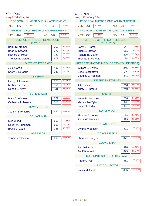| <b>SCHROON</b>                                            | <b>ST ARMAND</b>                                         |
|-----------------------------------------------------------|----------------------------------------------------------|
| Assy 113th-Cong 20th                                      | Assy 113th-Cong 23rd                                     |
| PROPOSAL NUMBER ONE, AN AMENDMENT                         | PROPOSAL NUMBER ONE, AN AMENDMENT                        |
| 82.16%<br>17.84%<br><b>NO</b><br><b>YES</b> 456<br>99     | 90.31%<br>9.69%<br><b>NO</b><br><b>YES</b><br>261<br>28  |
| PROPOSAL NUMBER TWO, AN AMENDMENT                         | PROPOSAL NUMBER TWO, AN AMENDMENT                        |
| 74.91%<br>25.09%<br>424<br><b>NO</b><br>142<br><b>YES</b> | 87.41%<br>12.59%<br><b>YES</b><br>250<br>36<br><b>NO</b> |
| <b>JUSTICE OF THE SUPREME COURT</b><br>(4th DISTRICT)     | <b>JUSTICE OF THE SUPREME COURT</b><br>(4th DISTRICT)    |
| 17.76%<br>209<br>Barry D. Kramer                          | 18.65%<br>147<br>Barry D. Kramer                         |
| 14.53%<br>171<br><b>Brian S. Stewart</b>                  | 20.43%<br>161<br><b>Brian S. Stewart</b>                 |
| 33.05%<br>389<br>Richard B. Meyer                         | 37.56%<br>296<br><b>Richard B. Meyer</b>                 |
| 34.66%<br>408<br>Thomas E. Mercure                        | 23.35%<br>184<br><b>Thomas E. Mercure</b>                |
| <b>DISTRICT ATTORNEY</b>                                  | REPRESENTATIVE IN CONGRESS (23rd DISTRICT)               |
| 57.97%<br>480<br><b>Julie Garcia</b>                      | 46.85%<br>245<br><b>William L. Owens</b>                 |
| 42.03%<br>348<br>Kristy L. Sprague                        | 7.07%<br>37<br>Dede Scozzafava                           |
| <b>SHERIFF</b>                                            | 46.08%<br>241<br>Douglas L. Hoffman                      |
| 60.81%<br>360<br>Henry H. Hommes                          | <b>DISTRICT ATTORNEY</b>                                 |
| 26.01%<br>154<br><b>Michael Ike Tyler</b>                 | 50.31%<br>243<br><b>Julie Garcia</b>                     |
| 13.18%<br>78<br>Robert L. Kirby                           | 49.69%<br>240<br>Kristy L. Sprague                       |
| <b>SUPERVISOR</b>                                         | <b>SHERIFF</b>                                           |
| 32.23%<br>262<br>Mark C. Whitney                          | 67.05%<br>236<br>Henry H. Hommes                         |
| 67.77%<br>551<br><b>Catherine L. Moses</b>                | 17.33%<br>61<br><b>Michael Ike Tyler</b>                 |
| <b>TOWN JUSTICE</b>                                       | 15.63%<br>55<br>Robert L. Kirby                          |
| 100.00%<br>557<br>Jean R. Strothenke                      | <b>SUPERVISOR</b>                                        |
| <b>COUNCILMAN</b>                                         | 34.32%<br>198<br>Thomas C. Jones                         |
| 40.31%<br>553<br><b>Meg Wood</b>                          | 379<br>65.68%<br>Joyce W. Morency                        |
| 43.08%<br>591<br>Roger M. Friedman                        | <b>TOWN CLERK</b>                                        |
| 16.62%<br><b>Bruce E. Caza</b><br>228                     | 100.00%<br>371<br>Cynthia Woodson                        |
| <b>ASSESSOR</b>                                           | <b>TOWN JUSTICE</b>                                      |
| 100.00%<br>501<br>Thomas T. Erikson                       | 100.00%<br>371<br><b>Sheridan Swinyer</b>                |
|                                                           | <b>COUNCILMAN</b>                                        |
|                                                           | 46.66%<br>328<br>Earl Dakin, Jr.                         |
|                                                           | 53.34%<br>Paul Woodruff<br>375                           |
|                                                           | <b>SUPERINTENDENT OF HIGHWAYS</b>                        |
|                                                           | $\overline{100.00\%}$<br><b>Roger Oliver</b><br>361      |
|                                                           | <b>TAX COLLECTOR</b>                                     |
|                                                           | 100.00%<br>356<br>Nancy M. Heath                         |
|                                                           |                                                          |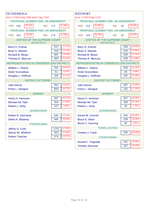| <b>TICONDEROGA</b>                             |                | <b>WESTPORT</b>                                       |                |
|------------------------------------------------|----------------|-------------------------------------------------------|----------------|
| Assy 113th-Cong 20th and Cong 23rd             |                | Assy 113th-Cong 23rd                                  |                |
| PROPOSAL NUMBER ONE, AN AMENDMENT              |                | PROPOSAL NUMBER ONE, AN AMENDMENT                     |                |
| 78.71%<br><b>YES</b> 636<br><b>NO</b>          | 21.29%<br>172  | 83.56%<br>310<br><b>NO</b><br><b>YES</b>              | 16.44%<br>61   |
| PROPOSAL NUMBER TWO, AN AMENDMENT              |                | PROPOSAL NUMBER TWO, AN AMENDMENT                     |                |
| 78.74%<br>652<br><b>YES</b><br><b>NO</b>       | 21.26%<br>176  | 83.73%<br><b>YES</b><br>319<br><b>NO</b>              | 16.27%<br>62   |
| JUSTICE OF THE SUPREME COURT<br>(4th DISTRICT) |                | <b>JUSTICE OF THE SUPREME COURT</b><br>(4th DISTRICT) |                |
| Barry D. Kramer                                | 17.17%<br>347  | Barry D. Kramer                                       | 24.00%<br>209  |
| <b>Brian S. Stewart</b>                        | 15.73%<br>318  | <b>Brian S. Stewart</b>                               | 24.80%<br>216  |
| Richard B. Meyer                               | 33.99%<br>687  | <b>Richard B. Meyer</b>                               | 27.32%<br>238  |
| Thomas E. Mercure                              | 33.10%<br>669  | Thomas E. Mercure                                     | 23.88%<br>208  |
| REPRESENTATIVE IN CONGRESS (23rd DISTRICT)     |                | REPRESENTATIVE IN CONGRESS (23rd DISTRICT)            |                |
| <b>William L. Owens</b>                        | 43.56%<br>291  | <b>William L. Owens</b>                               | 61.34%<br>349  |
| Dede Scozzafava                                | 9.13%<br>61    | Dede Scozzafava                                       | 6.68%<br>38    |
| Douglas L. Hoffman                             | 47.31%<br>316  | Douglas L. Hoffman                                    | 31.99%<br>182  |
| <b>DISTRICT ATTORNEY</b>                       |                | <b>DISTRICT ATTORNEY</b>                              |                |
| <b>Julie Garcia</b>                            | 43.23%<br>654  | <b>Julie Garcia</b>                                   | 72.80%<br>487  |
| Kristy L. Sprague                              | 56.77%<br>859  | Kristy L. Sprague                                     | 27.20%<br>182  |
| <b>SHERIFF</b>                                 |                | <b>SHERIFF</b>                                        |                |
| Henry H. Hommes                                | 53.17%<br>637  | Henry H. Hommes                                       | 35.03%<br>207  |
| Michael Ike Tyler                              | 37.90%<br>454  | <b>Michael Ike Tyler</b>                              | 57.19%<br>338  |
| Robert L. Kirby                                | 8.93%<br>107   | Robert L. Kirby                                       | 7.78%<br>46    |
| <b>SUPERVISOR</b>                              |                | <b>SUPERVISOR</b>                                     |                |
| Robert R. Dechame                              | 43.10%<br>640  | Daniel W. Connell                                     | 63.86%<br>440  |
| Debra A. Malaney                               | 845<br>56.90%  | <b>Bruce E. Ware</b>                                  | 30.33%<br>209  |
| <b>COUNCILMAN</b>                              |                | <b>Bruce C. Dunning</b>                               | 5.81%<br>40    |
| Jeffrey D. Cook                                | 47.04%<br>1152 | <b>TOWN JUSTICE</b>                                   |                |
| Steven W. Whitford                             | 37.69%<br>923  | Charles J. Turek                                      | 100.00%<br>335 |
| <b>Robert Thatcher</b>                         | 15.27%<br>374  | <b>COUNCILMAN</b>                                     |                |
|                                                |                | Russell L. Paquette                                   | 58.96%<br>441  |
|                                                |                | <b>Timothy Sherman</b>                                | 41.04%<br>307  |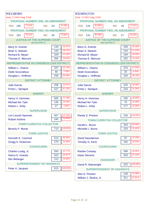| <b>WILLSBORO</b>                                      |                | <b>WILMINGTON</b>                                     |                |
|-------------------------------------------------------|----------------|-------------------------------------------------------|----------------|
| Assy 113th-Cong 23rd                                  |                | Assy 113th-Cong 23rd                                  |                |
| PROPOSAL NUMBER ONE, AN AMENDMENT                     |                | PROPOSAL NUMBER ONE, AN AMENDMENT                     |                |
| 77.51%<br><b>YES</b> 286<br><b>NO</b>                 | 22.49%<br>83   | 82.99%<br><b>NO</b><br><b>YES</b> 239                 | 17.01%<br>49   |
| PROPOSAL NUMBER TWO, AN AMENDMENT                     |                | PROPOSAL NUMBER TWO, AN AMENDMENT                     |                |
| 76.01%<br>282<br><b>YES</b><br><b>NO</b>              | 23.99%<br>89   | 80.48%<br>235<br><b>YES</b><br><b>NO</b>              | 19.52%<br>57   |
| <b>JUSTICE OF THE SUPREME COURT</b><br>(4th DISTRICT) |                | <b>JUSTICE OF THE SUPREME COURT</b><br>(4th DISTRICT) |                |
| Barry D. Kramer                                       | 16.27%<br>143  | Barry D. Kramer                                       | 25.26%<br>169  |
| <b>Brian S. Stewart</b>                               | 16.27%<br>143  | <b>Brian S. Stewart</b>                               | 21.52%<br>144  |
| Richard B. Meyer                                      | 37.43%<br>329  | Richard B. Meyer                                      | 29.00%<br>194  |
| Thomas E. Mercure                                     | 30.03%<br>264  | Thomas E. Mercure                                     | 24.22%<br>162  |
| REPRESENTATIVE IN CONGRESS (23rd DISTRICT)            |                | REPRESENTATIVE IN CONGRESS (23rd DISTRICT)            |                |
| William L. Owens                                      | 52.74%<br>337  | <b>William L. Owens</b>                               | 47.55%<br>223  |
| Dede Scozzafava                                       | 7.20%<br>46    | Dede Scozzafava                                       | 4.26%<br>20    |
| Douglas L. Hoffman                                    | 40.06%<br>256  | Douglas L. Hoffman                                    | 48.19%<br>226  |
| <b>DISTRICT ATTORNEY</b>                              |                | <b>DISTRICT ATTORNEY</b>                              |                |
| <b>Julie Garcia</b>                                   | 32.87%<br>258  | <b>Julie Garcia</b>                                   | 48.46%<br>220  |
| Kristy L. Sprague                                     | 67.13%<br>527  | Kristy L. Sprague                                     | 51.54%<br>234  |
| <b>SHERIFF</b>                                        |                | <b>SHERIFF</b>                                        |                |
| Henry H. Hommes                                       | 77.19%<br>582  | Henry H. Hommes                                       | 40.05%<br>165  |
| <b>Michael Ike Tyler</b>                              | 19.23%<br>145  | <b>Michael Ike Tyler</b>                              | 16.99%<br>70   |
| Robert L. Kirby                                       | 3.58%<br>27    | Robert L. Kirby                                       | 42.96%<br>177  |
| <b>SUPERVISOR</b>                                     |                | <b>SUPERVISOR</b>                                     |                |
| Lori Lincoln-Spooner                                  | 67.42%<br>507  | Randy S. Preston                                      | 100.00%<br>236 |
| <b>Robert Ashline</b>                                 | 32.58%<br>245  | <b>TOWN CLERK/TAX COLLECTOR</b>                       |                |
| <b>TOWN CLERK/TAX COLLECTOR</b>                       |                | Gerald L. Bruce                                       | 68.58%<br>334  |
| Beverly P. Moran                                      | 100.00%<br>713 | Michelle L. Burns                                     | 31.42%<br>153  |
| <b>TOWN JUSTICE</b>                                   |                | <b>TOWN JUSTICE</b>                                   |                |
| Kenneth E. Coonrod                                    | 65.52%<br>513  | <b>David Saunderson</b>                               | 37.45%<br>97   |
| Gregg S. Dickerson                                    | 34.48%<br>270  | <b>Timothy G. Kertz</b>                               | 62.55%<br>162  |
| <b>COUNCILMAN</b>                                     |                | <b>COUNCILMAN</b>                                     |                |
| Charles Lustig, Jr.                                   | 42.77%<br>550  | <b>Rarilee Conway</b>                                 | 48.56%<br>286  |
| Nancy E. Huestis                                      | 40.67%<br>523  | <b>Dawn Stevens</b>                                   | 51.44%<br>303  |
| <b>Win Belanger</b>                                   | 16.56%<br>213  | <b>ASSESSOR</b>                                       |                |
| SUPERINTENDENT OF HIGHWAYS                            |                | David R. Wainwright                                   | 100.00%<br>223 |
| Peter A. Jacques                                      | 100.00%<br>615 | SUPERINTENDENT OF HIGHWAYS                            |                |
|                                                       |                | Alan E. Preston                                       | 32.39%<br>149  |
|                                                       |                | William J. Skufca, Jr.                                | 67.61%<br>311  |